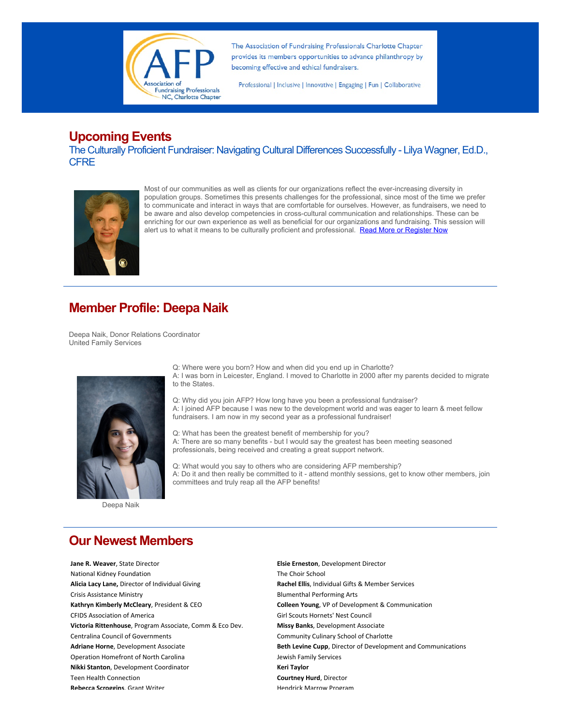

The Association of Fundraising Professionals Charlotte Chapter provides its members opportunities to advance philanthropy by becoming effective and ethical fundraisers.

Professional | Inclusive | Innovative | Engaging | Fun | Collaborative

## **Upcoming Events**

The Culturally Proficient Fundraiser: Navigating Cultural Differences Successfully - Lilya Wagner, Ed.D., **CFRE** 



Most of our communities as well as clients for our organizations reflect the ever-increasing diversity in population groups. Sometimes this presents challenges for the professional, since most of the time we prefer to communicate and interact in ways that are comfortable for ourselves. However, as fundraisers, we need to be aware and also develop competencies in cross-cultural communication and relationships. These can be enriching for our own experience as well as beneficial for our organizations and fundraising. This session will alert us to what it means to be culturally proficient and professional. Read More or Register Now

# **Member Profile: Deepa Naik**

Deepa Naik, Donor Relations Coordinator United Family Services



Deepa Naik

Q: Where were you born? How and when did you end up in Charlotte? A: I was born in Leicester, England. I moved to Charlotte in 2000 after my parents decided to migrate to the States.

Q: Why did you join AFP? How long have you been a professional fundraiser? A: I joined AFP because I was new to the development world and was eager to learn & meet fellow fundraisers. I am now in my second year as a professional fundraiser!

Q: What has been the greatest benefit of membership for you? A: There are so many benefits - but I would say the greatest has been meeting seasoned professionals, being received and creating a great support network.

Q: What would you say to others who are considering AFP membership? A: Do it and then really be committed to it - attend monthly sessions, get to know other members, join committees and truly reap all the AFP benefits!

## **Our Newest Members**

**Jane R. Weaver**, State Director **Elsie Erneston**, Development Director National Kidney Foundation The Choir School Alicia Lacy Lane, Director of Individual Giving **Rachel Ellis**, Individual Gifts & Member Services Crisis Assistance Ministry **Crisis Assistance Ministry Blumenthal Performing Arts** Kathryn Kimberly McCleary, President & CEO **Colleen Young**, VP of Development & Communication CFIDS Association of America CFIDS Association of America CFIDS Association of America CFIDS Association of America Victoria Rittenhouse, Program Associate, Comm & Eco Dev. **Missy Banks**, Development Associate Centralina Council of Governments **Community Culinary School of Charlotte** Community Culinary School of Charlotte Operation Homefront of North Carolina **Manual According to the Services** Jewish Family Services **Nikki Stanton**, Development Coordinator **Keri Taylor Keri Taylor** Teen Health Connection **Courtney Hurd**, Director **Rebecca Scroggins** Grant Writer **New York Constructs Arrow Program** 

Adriane Horne, Development Associate **Beth Levine Cupp**, Director of Development and Communications